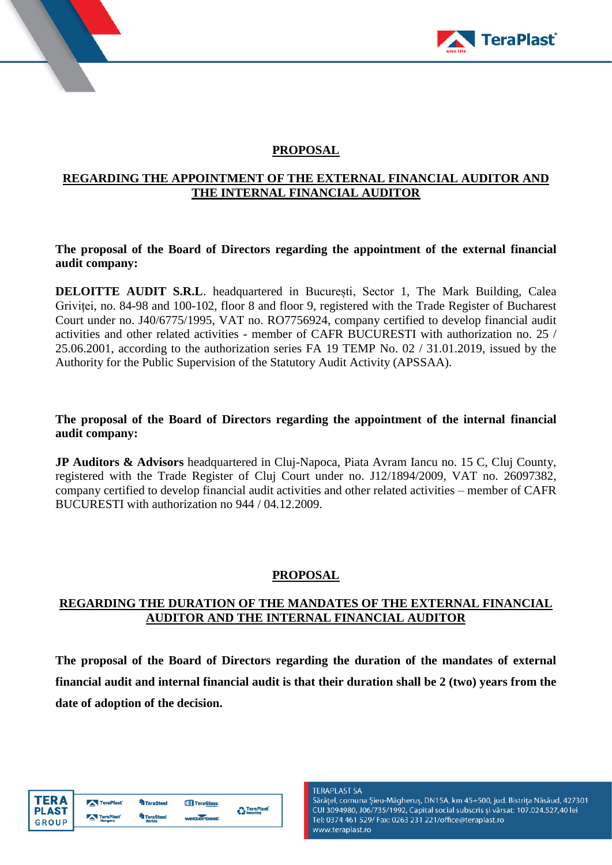



# **PROPOSAL**

#### **REGARDING THE APPOINTMENT OF THE EXTERNAL FINANCIAL AUDITOR AND THE INTERNAL FINANCIAL AUDITOR**

**The proposal of the Board of Directors regarding the appointment of the external financial audit company:**

**DELOITTE AUDIT S.R.L**. headquartered in București, Sector 1, The Mark Building, Calea Griviței, no. 84-98 and 100-102, floor 8 and floor 9, registered with the Trade Register of Bucharest Court under no. J40/6775/1995, VAT no. RO7756924, company certified to develop financial audit activities and other related activities - member of CAFR BUCURESTI with authorization no. 25 / 25.06.2001, according to the authorization series FA 19 TEMP No. 02 / 31.01.2019, issued by the Authority for the Public Supervision of the Statutory Audit Activity (APSSAA).

**The proposal of the Board of Directors regarding the appointment of the internal financial audit company:**

**JP Auditors & Advisors** headquartered in Cluj-Napoca, Piata Avram Iancu no. 15 C, Cluj County, registered with the Trade Register of Cluj Court under no. J12/1894/2009, VAT no. 26097382, company certified to develop financial audit activities and other related activities – member of CAFR BUCURESTI with authorization no 944 / 04.12.2009.

#### **PROPOSAL**

## **REGARDING THE DURATION OF THE MANDATES OF THE EXTERNAL FINANCIAL AUDITOR AND THE INTERNAL FINANCIAL AUDITOR**

**The proposal of the Board of Directors regarding the duration of the mandates of external financial audit and internal financial audit is that their duration shall be 2 (two) years from the date of adoption of the decision.**

| ΓFR Δ        | TeraPlast              | <b>TeraSteel</b> | TeraGlass' | TeraPlast        |
|--------------|------------------------|------------------|------------|------------------|
| <b>PLAST</b> | TeraPlast <sup>®</sup> | <b>TeraSteel</b> | webberheet | <b>Recycling</b> |
| GROUP        | Hungary                | Serbia           |            |                  |

**TERAPLAST SA** 

Sărățel, comuna Șieu-Măgheruș, DN15A, km 45+500, jud. Bistrița Năsăud, 427301 CUI 3094980, J06/735/1992, Capital social subscris și vărsat: 107.024.527,40 lei Tel: 0374 461 529/ Fax: 0263 231 221/office@teraplast.ro www.teraplast.ro